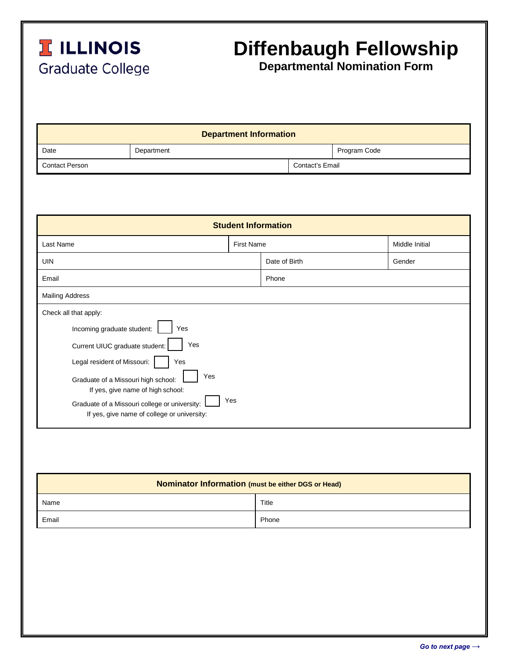

## **Diffenbaugh Fellowship**

**Departmental Nomination Form**

| <b>Department Information</b> |            |                 |              |  |  |
|-------------------------------|------------|-----------------|--------------|--|--|
| Date                          | Department |                 | Program Code |  |  |
| <b>Contact Person</b>         |            | Contact's Email |              |  |  |

| <b>Student Information</b>                                                                                                               |  |                   |                |  |  |
|------------------------------------------------------------------------------------------------------------------------------------------|--|-------------------|----------------|--|--|
| Last Name                                                                                                                                |  | <b>First Name</b> | Middle Initial |  |  |
| <b>UIN</b>                                                                                                                               |  | Date of Birth     | Gender         |  |  |
| Email                                                                                                                                    |  | Phone             |                |  |  |
| <b>Mailing Address</b>                                                                                                                   |  |                   |                |  |  |
| Check all that apply:<br>Incoming graduate student:<br>Yes                                                                               |  |                   |                |  |  |
| Yes<br>Current UIUC graduate student:                                                                                                    |  |                   |                |  |  |
| Legal resident of Missouri:<br>Yes<br>Yes<br>Graduate of a Missouri high school:                                                         |  |                   |                |  |  |
| If yes, give name of high school:<br>Yes<br>Graduate of a Missouri college or university:<br>If yes, give name of college or university: |  |                   |                |  |  |

| Nominator Information (must be either DGS or Head) |       |  |  |  |
|----------------------------------------------------|-------|--|--|--|
| Name                                               | Title |  |  |  |
| Email                                              | Phone |  |  |  |